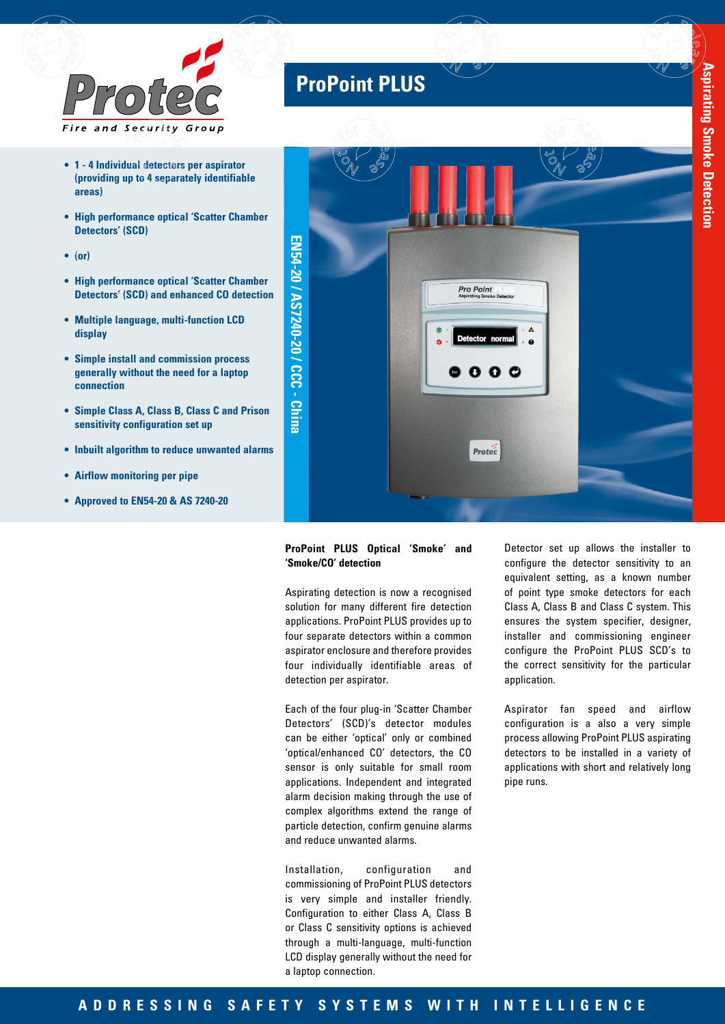

- **• 1 4 Individual detectors per aspirator (providing up to 4 separately identifiable areas)**
- **• High performance optical 'Scatter Chamber Detectors' (SCD)**
- **• (or)**
- **• High performance optical 'Scatter Chamber Detectors' (SCD) and enhanced CO detection**
- **• Multiple language, multi-function LCD display**
- **• Simple install and commission process generally without the need for a laptop connection**
- **• Simple Class A, Class B, Class C and Prison sensitivity configuration set up**
- **• Inbuilt algorithm to reduce unwanted alarms**
- **• Airflow monitoring per pipe**
- **• Approved to EN54-20 & AS 7240-20**

# **ProPoint PLUS**



### **ProPoint PLUS Optical 'Smoke' and 'Smoke/CO' detection**

Aspirating detection is now a recognised solution for many different fire detection applications. ProPoint PLUS provides up to four separate detectors within a common aspirator enclosure and therefore provides four individually identifiable areas of detection per aspirator.

Each of the four plug-in 'Scatter Chamber Detectors' (SCD)'s detector modules can be either 'optical' only or combined 'optical/enhanced CO' detectors, the CO sensor is only suitable for small room applications. Independent and integrated alarm decision making through the use of complex algorithms extend the range of particle detection, confirm genuine alarms and reduce unwanted alarms.

Installation, configuration and commissioning of ProPoint PLUS detectors is very simple and installer friendly. Configuration to either Class A, Class B or Class C sensitivity options is achieved through a multi-language, multi-function LCD display generally without the need for a laptop connection.

Detector set up allows the installer to configure the detector sensitivity to an equivalent setting, as a known number of point type smoke detectors for each Class A, Class B and Class C system. This ensures the system specifier, designer, installer and commissioning engineer configure the ProPoint PLUS SCD's to the correct sensitivity for the particular application.

Aspirator fan speed and airflow configuration is a also a very simple process allowing ProPoint PLUS aspirating detectors to be installed in a variety of applications with short and relatively long pipe runs.